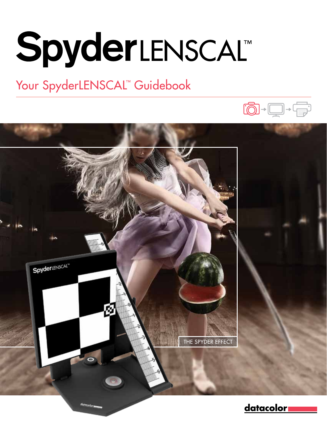# **SpyderLENSCALT**

### Your SpyderLENSCAL™ Guidebook



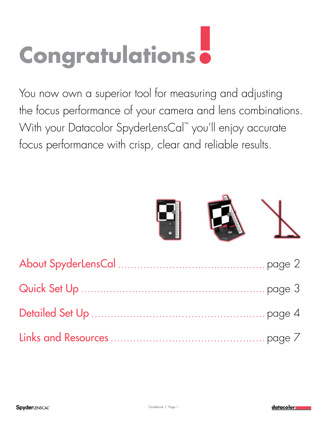## **Congratulations!**

You now own a superior tool for measuring and adjusting the focus performance of your camera and lens combinations. With your Datacolor SpyderLensCal™ you'll enjoy accurate focus performance with crisp, clear and reliable results.



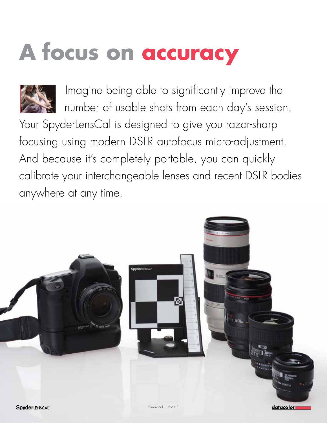## **A focus on accuracy**



 Imagine being able to significantly improve the number of usable shots from each day's session.

Your SpyderLensCal is designed to give you razor-sharp focusing using modern DSLR autofocus micro-adjustment. And because it's completely portable, you can quickly calibrate your interchangeable lenses and recent DSLR bodies anywhere at any time.

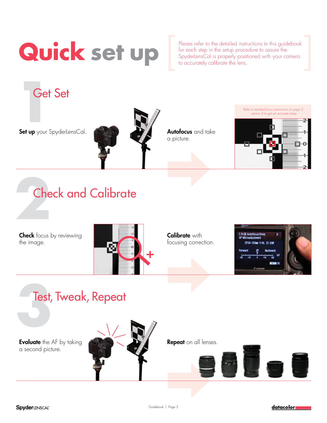## **Quick set up**

Please refer to the detailed instructions in this guidebook for each step in the setup procedure to assure the SpyderLensCal is properly positioned with your camera<br>to accurately calibrate the lens.

**1**<br>**1**<br>**1**<br>**1**<br>**1**<br>**1**<br>**1**<br>**1**<br>**1**<br>**1** Get Set

Set up your SpyderLensCal. **Autor Autofocus** and take



a picture.

Refer to detailed focus instructions on page 5, section 2 to get an accurate setup



## 2<br>2<br>2<br>2<br>2<br>2<br>2<br>2<br>2<br>2<br>2<br>2<br>2<br>2<br>2<br>2<br>2<br>2<br> Check and Calibrate

**Check** focus by reviewing the image.



Calibrate with focusing correction.



## **1**<br>**3**<br>**3**<br>**3**<br>**3** Test, Tweak, Repeat

**Evaluate** the AF by taking a second picture.



Repeat on all lenses.



datacolor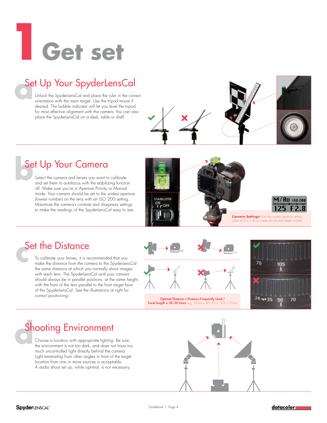# **1Get set**

## **Set Up Your SpyderLensCal**<br>
Unlock the SpyderLensCal and place the ruler in the concentration with the main target. Use the tripod mount if

Unlock the SpyderLensCal and place the ruler in the correct orientation with the main target. Use the tripod mount if desired. The bubble indicator will let you level the tripod for most effective alignment with the camera. You can also place the SpyderLensCal on a desk, table or shelf.

## **but Up Your Camera**<br>
Select the camera and lenses you want to<br>
and set them to autofocus with the stability

Select the camera and lenses you want to calibrate and set them to autofocus with the stabilizing function off. Make sure you're in Aperture Priority or Manual mode. Your camera should be set to the widest aperture (lowest number) on the lens with an ISO 200 setting. Maximize the camera's contrast and sharpness settings to make the readings of the SpyderLensCal easy to see.



## **Set the Distance**<br>
To calibrate your lenses, it is remainded to the distance from the calibration of the big series distance of which you

To calibrate your lenses, it is recommended that you make the distance from the camera to the SpyderLensCal the same distance at which you normally shoot images with each lens. The SpyderLensCal and your camera should always be in parallel positions, at the same height, with the front of the lens parallel to the front target face of the SpyderLensCal. See the illustrations at right for correct positioning.





Optimal Distance = Distance Frequently Used / Focal Length x 30~50 times e.g.  $35 \text{mm} \times 30 \times 50 = 105 \times 175 \text{cm}$ 



Choose a location with appropriate lighting. Be sure the environment is not too dark, and does not have too much uncontrolled light directly behind the camera. Light emanating from other angles in front of the target location from one or more sources is acceptable. A studio shoot set up, while optimal, is not necessary. **Shooting Environment**<br>
Choose a location with appropriate lighting<br>
the environment is not too dark, and does not

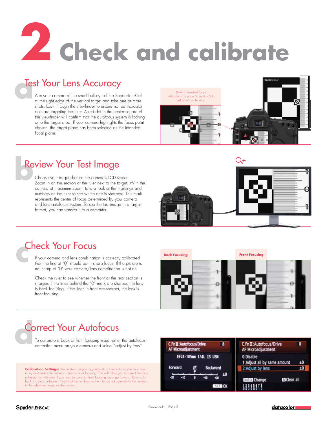# **2 Check and calibrate**

## **a Fest Your Lens Accuracy**<br>
Aim your camera at the small bullseye of the Spy<br>
at the right edge of the vertical target and take of

Aim your camera at the small bullseye of the SpyderLensCal at the right edge of the vertical target and take one or more shots. Look through the viewfinder to ensure no red indicator dots are targeting the ruler. A red dot in the center square of the viewfinder will confirm that the autofocus system is locking onto the target area. If your camera highlights the focus point chosen, the target plane has been selected as the intended focal plane.





## **b**<br> **b** Choose your target shot on the camera's LCD s<br>
Zoom in on the section of the ruler next to the to

Choose your target shot on the camera's LCD screen. Zoom in on the section of the ruler next to the target. With the camera at maximum zoom, take a look at the markings and numbers on the ruler to see which one is sharpest. This mark represents the center of focus determined by your camera and lens autofocus system. To see the test image in a larger format, you can transfer it to a computer.



If your camera and lens combination is correctly calibrated then the line at "0" should be in sharp focus. If the picture is not sharp at "0" your camera/lens combination is not on. **check Your Focus**<br>
If your camera and lens combination<br>
then the line of "0" should be in sh<br>
and sharp of "0" your camera (lens

> Check the ruler to see whether the front or the rear section is sharper. If the lines behind the "0" mark are sharper, the lens is back focusing. If the lines in front are sharper, the lens is front focusing.





### **d** Correct Your Autofocus

To calibrate a back or front focusing issue, enter the autofocus correction menu on your camera and select "adjust by lens."

**Calibration Settings:** The numbers on your SpyderLensCal ruler indicate precisely how many centimeters the camera is front or back focusing. This will allow you to correct the focus millimeter by millimeter. If you need to correct a front focusing issue, go forward. Reverse for back focusing calibration. Note that the numbers on the ruler do not correlate to the numbers in the adjustment menu on the camera.

| C.Fn图:Autofocus/Drive<br>8<br>AF Microadjustment | C.Fnii: Autofocus/Drive<br>AF Microadjustment | 8  |
|--------------------------------------------------|-----------------------------------------------|----|
| EF24-105mm f/4L IS USN                           | 0:Disable<br>1:Adjust all by same amount      | ±0 |
| Forward<br><b>Backward</b>                       | 2: Adjust by lens                             | ±0 |
| ±0<br>-20<br>юĸ<br>SET.                          | 間 Clear all<br><b>INFO</b> Change             |    |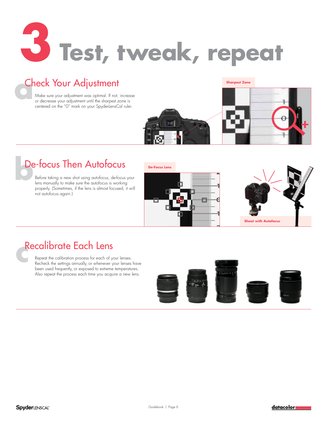

## **Check Your Adjustment**<br>
Make sure your adjustment was optimal. If not,<br>
or decrease your adjustment until the sharpest z

Make sure your adjustment was optimal. If not, increase or decrease your adjustment until the sharpest zone is centered on the "0" mark on your SpyderLensCal ruler.

### **Sharpest Zone**



## **before taking a new shot using autofocus, defocus**<br>
Before taking a new shot using autofocus, defocus<br>
lens manually to make sure the autofocus is working

Before taking a new shot using autofocus, de-focus your lens manually to make sure the autofocus is working properly. (Sometimes, if the lens is almost focused, it will not autofocus again.)

**De-Focus Lens**





Repeat the calibration process for each of your lenses. Recheck the settings annually, or whenever your lenses have been used frequently, or exposed to extreme temperatures. Also repeat the process each time you acquire a new lens. **Recalibrate Each Lens**<br> **consider the calibration process for each of y**<br> **Recheck the settings annually, or whenever**<br> **lens used fraughths as annonced to artimeter**